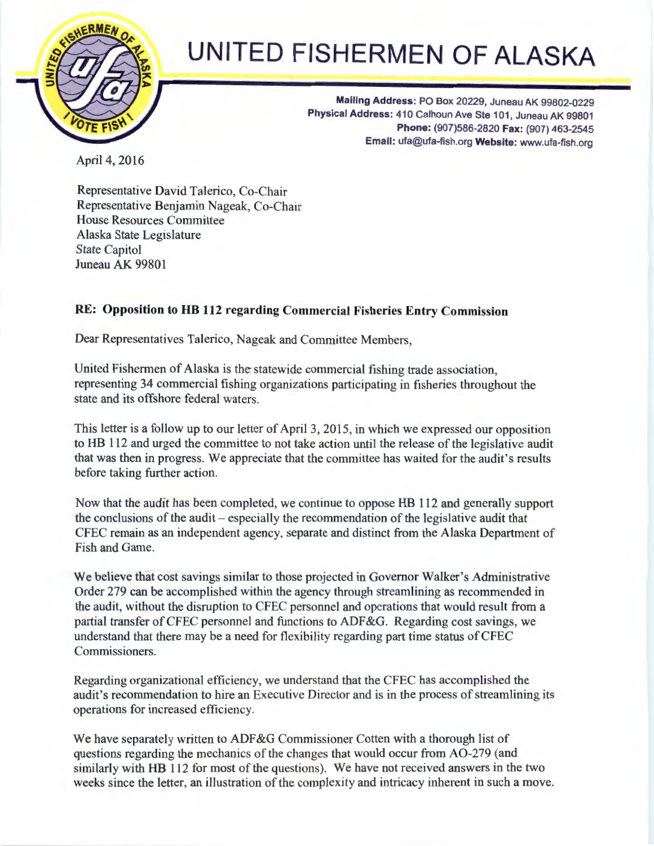

## **UNITED FISHERMEN OF ALASKA**

**Mailing Address:** PO Box 20229, Juneau AK 99802-0229 Physical Address: 410 Calhoun Ave Ste 101, Juneau AK 99801 **Phone:** (907)586-2820 **Fax:** (907) 463-2545 **Email:** ufa@ufa-fish.org **Website:** www.ufa-fish.org

April 4, 2016

Representative David Talerico, Co-Chair Representative Benjamin Nageak, Co-Chair House Resources Committee Alaska State Legislature State Capitol Juneau AK 99801

## **RE: Opposition to HB 112 regarding Commercial Fisheries Entry Commission**

Dear Representatives Talerico, Nageak and Committee Members,

United Fishermen of Alaska is the statewide commercial fishing trade association, representing 34 commercial fishing organizations participating in fisheries throughout the state and its offshore federal waters.

This letter is a follow up to our letter of April 3, 2015, in which we expressed our opposition to HB 112 and urged the committee to not take action until the release of the legislative audit that was then in progress. We appreciate that the committee has waited for the audit's results before taking further action.

Now that the audit has been completed, we continue to oppose HB 112 and generally support the conclusions of the audit – especially the recommendation of the legislative audit that CFEC remain as an independent agency, separate and distinct from the Alaska Department of Fish and Game.

We believe that cost savings similar to those projected in Governor Walker's Administrative Order 279 can be accomplished within the agency through streamlining as recommended in the audit, without the disruption to CFEC personnel and operations that would result from a partial transfer of CFEC personnel and functions to ADF&G. Regarding cost savings, we understand that there may be a need for flexibility regarding part time status of CFEC Commissioners.

Regarding organizational efficiency, we understand that the CFEC has accomplished the audit's recommendation to hire an Executive Director and is in the process of streamlining its operations for increased efficiency.

We have separately written to ADF&G Commissioner Cotten with a thorough list of questions regarding the mechanics of the changes that would occur from A0-279 (and similarly with HB 112 for most of the questions). We have not received answers in the two weeks since the letter, an illustration of the complexity and intricacy inherent in such a move.